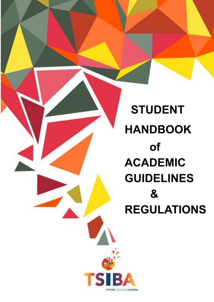**STUDENT HANDBOOK of ACADEMIC GUIDELINES** & **REGULATIONS** 

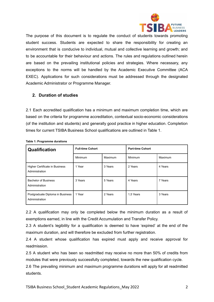

The purpose of this document is to regulate the conduct of students towards promoting student success. Students are expected to share the responsibility for creating an environment that is conducive to individual, mutual and collective learning and growth; and to be accountable for their behaviour and actions. The rules and regulations outlined herein are based on the prevailing institutional policies and strategies. Where necessary, any exceptions to the norms will be handled by the Academic Executive Committee (ACA EXEC). Applications for such considerations must be addressed through the designated Academic Administrator or Programme Manager.

#### **2. Duration of studies**

2.1 Each accredited qualification has a minimum and maximum completion time, which are based on the criteria for programme accreditation, contextual socio-economic considerations (of the institution and students) and generally good practice in higher education. Completion times for current TSIBA Business School qualifications are outlined in Table 1.

| Qualification                                      | <b>Full-time Cohort</b> |         | <b>Part-time Cohort</b> |         |
|----------------------------------------------------|-------------------------|---------|-------------------------|---------|
|                                                    | Minimum                 | Maximum | Minimum                 | Maximum |
| Higher Certificate in Business<br>Administration   | 1 Year                  | 3 Years | 2 Years                 | 4 Years |
| <b>Bachelor of Business</b><br>Administration      | 3 Years                 | 5 Years | 4 Years                 | 7 Years |
| Postgraduate Diploma in Business<br>Administration | 1 Year                  | 2 Years | 1,5 Years               | 3 Years |

**Table 1: Programme durations**

2.2 A qualification may only be completed below the minimum duration as a result of exemptions earned, in line with the Credit Accumulation and Transfer Policy.

2.3 A student's legibility for a qualification is deemed to have 'expired' at the end of the maximum duration, and will therefore be excluded from further registration.

2.4 A student whose qualification has expired must apply and receive approval for readmission.

2.5 A student who has been so readmitted may receive no more than 50% of credits from modules that were previously successfully completed, towards the new qualification cycle.

2.6 The prevailing minimum and maximum programme durations will apply for all readmitted students.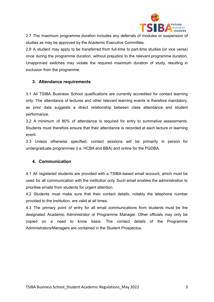

2.7 The maximum programme duration includes any deferrals of modules or suspension of studies as may be approved by the Academic Executive Committee.

2.8 A student may apply to be transferred from full-time to part-time studies (or vice versa) once during the programme duration, without prejudice to the relevant programme duration. Unapproved switches may violate the required maximum duration of study, resulting in exclusion from the programme.

### **3. Attendance requirements**

3.1 All TSIBA Business School qualifications are currently accredited for contact learning only. The attendance of lectures and other relevant learning events is therefore mandatory, as prior data suggests a direct relationship between class attendance and student performance.

3.2 A minimum of 80% of attendance is required for entry to summative assessments. Students must therefore ensure that their attendance is recorded at each lecture or learning event.

3.3 Unless otherwise specified, contact sessions will be primarily in person for undergraduate programmes (i.e. HCBA and BBA) and online for the PGDBA.

### **4. Communication**

4.1 All registered students are provided with a TSIBA-based email account, which must be used for all communication with the institution only. Such email enables the administration to prioritise emails from students for urgent attention.

4.2 Students must make sure that their contact details, notably the telephone number provided to the institution, are valid at all times.

4.3 The primary point of entry for all email communications from students must be the designated Academic Administrator or Programme Manager. Other officials may only be copied on a need to know basis. The contact details of the Programme Administrators/Managers are contained in the Student Prospectus.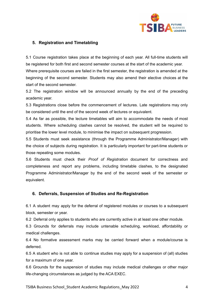

## **5. Registration and Timetabling**

5.1 Course registration takes place at the beginning of each year. All full-time students will be registered for both first and second semester courses at the start of the academic year. Where prerequisite courses are failed in the first semester, the registration is amended at the beginning of the second semester. Students may also amend their elective choices at the start of the second semester.

5.2 The registration window will be announced annually by the end of the preceding academic year.

5.3 Registrations close before the commencement of lectures. Late registrations may only be considered until the end of the second week of lectures or equivalent.

5.4 As far as possible, the lecture timetables will aim to accommodate the needs of most students. Where scheduling clashes cannot be resolved, the student will be required to prioritise the lower level module, to minimise the impact on subsequent progression.

5.5 Students must seek assistance (through the Programme Administrator/Manager) with the choice of subjects during registration. It is particularly important for part-time students or those repeating some modules.

5.6 Students must check their *Proof of Registration* document for correctness and completeness and report any problems, including timetable clashes, to the designated Programme Administrator/Manager by the end of the second week of the semester or equivalent.

### **6. Deferrals, Suspension of Studies and Re-Registration**

6.1 A student may apply for the deferral of registered modules or courses to a subsequent block, semester or year.

6.2 Deferral only applies to students who are currently active in at least one other module.

6.3 Grounds for deferrals may include untenable scheduling, workload, affordability or medical challenges.

6.4 No formative assessment marks may be carried forward when a module/course is deferred.

6.5 A student who is not able to continue studies may apply for a suspension of (all) studies for a maximum of one year.

6.6 Grounds for the suspension of studies may include medical challenges or other major life-changing circumstances as judged by the ACA EXEC.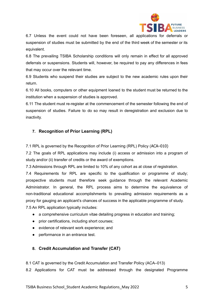

6.7 Unless the event could not have been foreseen, all applications for deferrals or suspension of studies must be submitted by the end of the third week of the semester or its equivalent.

6.8 The prevailing TSIBA Scholarship conditions will only remain in effect for all approved deferrals or suspensions. Students will, however, be required to pay any differences in fees that may occur over the relevant time.

6.9 Students who suspend their studies are subject to the new academic rules upon their return.

6.10 All books, computers or other equipment loaned to the student must be returned to the institution when a suspension of studies is approved.

6.11 The student must re-register at the commencement of the semester following the end of suspension of studies. Failure to do so may result in deregistration and exclusion due to inactivity.

# **7. Recognition of Prior Learning (RPL)**

7.1 RPL is governed by the Recognition of Prior Learning (RPL) Policy (ACA–010)

7.2 The goals of RPL applications may include (i) access or admission into a program of study and/or (ii) transfer of credits or the award of exemptions.

7.3 Admissions through RPL are limited to 10% of any cohort as at close of registration.

7.4 Requirements for RPL are specific to the qualification or programme of study; prospective students must therefore seek guidance through the relevant Academic Administrator. In general, the RPL process aims to determine the equivalence of non-traditional educational accomplishments to prevailing admission requirements as a proxy for gauging an applicant's chances of success in the applicable programme of study. 7.5 An RPL application typically includes:

- a comprehensive curriculum vitae detailing progress in education and training;
- prior certifications, including short courses;
- evidence of relevant work experience; and
- performance in an entrance test.

# **8. Credit Accumulation and Transfer (CAT)**

8.1 CAT is governed by the Credit Accumulation and Transfer Policy (ACA–013)

8.2 Applications for CAT must be addressed through the designated Programme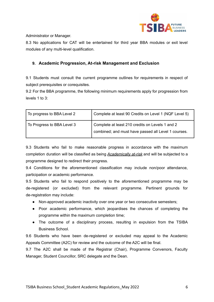

Administrator or Manager.

8.3 No applications for CAT will be entertained for third year BBA modules or exit level modules of any multi-level qualification.

## **9. Academic Progression, At-risk Management and Exclusion**

9.1 Students must consult the current programme outlines for requirements in respect of subject prerequisites or corequisites.

9.2 For the BBA programme, the following minimum requirements apply for progression from levels 1 to 3:

| To progress to BBA Level 2 | Complete at least 90 Credits on Level 1 (NQF Level 5)                                                  |
|----------------------------|--------------------------------------------------------------------------------------------------------|
| To Progress to BBA Level 3 | Complete at least 210 credits on Levels 1 and 2<br>combined; and must have passed all Level 1 courses. |

9.3 Students who fail to make reasonable progress in accordance with the maximum completion duration will be classified as being *Academically at-risk* and will be subjected to a programme designed to redirect their progress.

9.4 Conditions for the aforementioned classification may include non/poor attendance, participation or academic performance.

9.5 Students who fail to respond positively to the aforementioned programme may be de-registered (or excluded) from the relevant programme. Pertinent grounds for de-registration may include:

- Non-approved academic inactivity over one year or two consecutive semesters;
- Poor academic performance, which jeopardises the chances of completing the programme within the maximum completion time;
- The outcome of a disciplinary process, resulting in expulsion from the TSIBA Business School.

9.6 Students who have been de-registered or excluded may appeal to the Academic Appeals Committee (A2C) for review and the outcome of the A2C will be final.

9.7 The A2C shall be made of the Registrar (Chair), Programme Convenors, Faculty Manager, Student Councillor, SRC delegate and the Dean.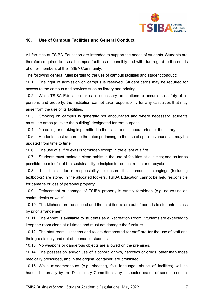

## **10. Use of Campus Facilities and General Conduct**

All facilities at TSIBA Education are intended to support the needs of students. Students are therefore required to use all campus facilities responsibly and with due regard to the needs of other members of the TSIBA Community.

The following general rules pertain to the use of campus facilities and student conduct:

10.1 The right of admission on campus is reserved. Student cards may be required for access to the campus and services such as library and printing.

10.2 While TSIBA Education takes all necessary precautions to ensure the safety of all persons and property, the institution cannot take responsibility for any casualties that may arise from the use of its facilities.

10.3 Smoking on campus is generally not encouraged and where necessary, students must use areas (outside the building) designated for that purpose.

10.4 No eating or drinking is permitted in the classrooms, laboratories, or the library.

10.5 Students must adhere to the rules pertaining to the use of specific venues, as may be updated from time to time.

10.6 The use of all fire exits is forbidden except in the event of a fire.

10.7 Students must maintain clean habits in the use of facilities at all times; and as far as possible, be mindful of the sustainability principles to reduce, reuse and recycle.

10.8 It is the student's responsibility to ensure that personal belongings (including textbooks) are stored in the allocated lockers. TSIBA Education cannot be held responsible for damage or loss of personal property.

10.9 Defacement or damage of TSIBA property is strictly forbidden (e.g. no writing on chairs, desks or walls).

10.10 The kitchens on the second and the third floors are out of bounds to students unless by prior arrangement.

10.11 The Annex is available to students as a Recreation Room. Students are expected to keep the room clean at all times and must not damage the furniture.

10.12 The staff room, kitchens and toilets demarcated for staff are for the use of staff and their guests only and out of bounds to students.

10.13 No weapons or dangerous objects are allowed on the premises.

10.14 The possession and/or use of alcoholic drinks, narcotics or drugs, other than those medically prescribed, and in the original container, are prohibited.

10.15 While misdemeanours (e.g. cheating, foul language, abuse of facilities) will be handled internally by the Disciplinary Committee, any suspected cases of serious criminal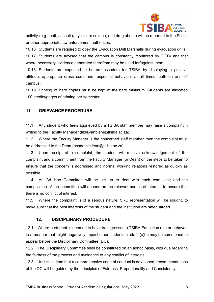

activity (e.g. theft, assault (physical or sexual), and drug abuse) will be reported to the Police or other appropriate law enforcement authorities.

10.16 Students are required to obey the Evacuation Drill Marshalls during evacuation drills. 10.17 Students are advised that the campus is constantly monitored by CCTV and that where necessary, evidence generated therefrom may be used for/against them.

10.18 Students are expected to be ambassadors for TSIBA by displaying a positive attitude, appropriate dress code and respectful behaviour at all times, both on and off campus.

10.19 Printing of hard copies must be kept at the bare minimum. Students are allocated 100 credits/pages of printing per semester.

# **11. GRIEVANCE PROCEDURE**

11.1 Any student who feels aggrieved by a TSIBA staff member may raise a complaint in writing to the Faculty Manager (lizel.vanbiene@tsiba.ac.za).

11.2 Where the Faculty Manager is the concerned staff member, then the complaint must be addressed to the Dean (academicdean@tsiba.ac.za).

11.3 Upon receipt of a complaint, the student will receive acknowledgement of the complaint and a commitment from the Faculty Manager (or Dean) on the steps to be taken to ensure that the concern is addressed and normal working relations restored as quickly as possible.

11.4 An Ad Hoc Committee will be set up to deal with each complaint; and the composition of the committee will depend on the relevant parties of interest, to ensure that there is no conflict of interest.

11.5 Where the complaint is of a serious nature, SRC representation will be sought, to make sure that the best interests of the student and the institution are safeguarded.

# **12. DISCIPLINARY PROCEDURE**

12.1 Where a student is deemed to have transgressed a TSIBA Education rule or behaved in a manner that might negatively impact other students or staff, (s)he may be summoned to appear before the Disciplinary Committee (DC).

12.2 The Disciplinary Committee shall be constituted on an adhoc basis, with due regard to the fairness of the process and avoidance of any conflict of interests.

12.3 Until such time that a comprehensive code of conduct is developed, recommendations of the DC will be guided by the principles of Fairness, Proportionality and Consistency.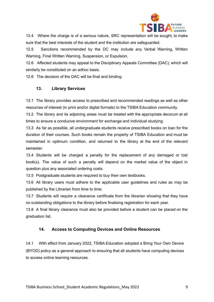

12.4 Where the charge is of a serious nature, SRC representation will be sought, to make sure that the best interests of the student and the institution are safeguarded.

12.5 Sanctions recommended by the DC may include any Verbal Warning, Written Warning, Final Written Warning, Suspension, or Expulsion.

12.6 Affected students may appeal to the Disciplinary Appeals Committee (DAC); which will similarly be constituted on an adhoc basis.

12.6 The decision of the DAC will be final and binding.

## **13. Library Services**

13.1 The library provides access to prescribed and recommended readings as well as other resources of interest (in print and/or digital formats) to the TSIBA Education community.

13.2 The library and its adjoining areas must be treated with the appropriate decorum at all times to ensure a conducive environment for exchange and individual studying.

13.3 As far as possible, all undergraduate students receive prescribed books on loan for the duration of their courses. Such books remain the property of TSIBA Education and must be maintained in optimum condition, and returned to the library at the end of the relevant semester.

13.4 Students will be charged a penalty for the replacement of any damaged or lost book(s). The value of such a penalty will depend on the market value of the object in question plus any associated ordering costs.

13.5 Postgraduate students are required to buy their own textbooks.

13.6 All library users must adhere to the applicable user guidelines and rules as may be published by the Librarian from time to time.

13.7 Students will require a clearance certificate from the librarian showing that they have no outstanding obligations to the library before finalising registration for each year.

13.8 A final library clearance must also be provided before a student can be placed on the graduation list.

# **14. Access to Computing Devices and Online Resources**

14.1 With effect from January 2022, TSIBA Education adopted a Bring Your Own Device (BYOD) policy as a general approach to ensuring that all students have computing devices to access online learning resources.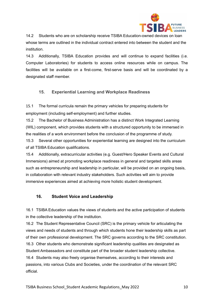

14.2 Students who are on scholarship receive TSIBA Education-owned devices on loan whose terms are outlined in the individual contract entered into between the student and the institution.

14.3 Additionally, TSIBA Education provides and will continue to expand facilities (i.e. Computer Laboratories) for students to access online resources while on campus. The facilities will be available on a first-come, first-serve basis and will be coordinated by a designated staff member.

# **15. Experiential Learning and Workplace Readiness**

15.1 The formal curricula remain the primary vehicles for preparing students for employment (including self-employment) and further studies.

15.2 The Bachelor of Business Administration has a distinct Work Integrated Learning (WIL) component, which provides students with a structured opportunity to be immersed in the realities of a work environment before the conclusion of the programme of study.

15.3 Several other opportunities for experiential learning are designed into the curriculum of all TSIBA Education qualifications.

15.4 Additionally, extracurricular activities (e.g. Guest/Hero Speaker Events and Cultural Immersions) aimed at promoting workplace readiness in general and targeted skills areas such as entrepreneurship and leadership in particular, will be provided on an ongoing basis, in collaboration with relevant industry stakeholders. Such activities will aim to provide immersive experiences aimed at achieving more holistic student development.

# **16. Student Voice and Leadership**

16.1 TSIBA Education values the views of students and the active participation of students in the collective leadership of the institution.

16.2 The Student Representative Council (SRC) is the primary vehicle for articulating the views and needs of students and through which students hone their leadership skills as part of their own professional development. The SRC governs according to the SRC constitution. 16.3 Other students who demonstrate significant leadership qualities are designated as Student Ambassadors and constitute part of the broader student leadership collective. 16.4 Students may also freely organise themselves, according to their interests and passions, into various Clubs and Societies, under the coordination of the relevant SRC official.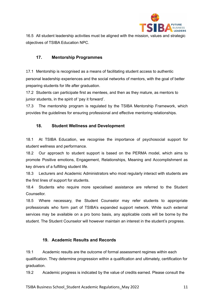

16.5 All student leadership activities must be aligned with the mission, values and strategic objectives of TSIBA Education NPC.

# **17. Mentorship Programmes**

17.1 Mentorship is recognised as a means of facilitating student access to authentic personal leadership experiences and the social networks of mentors, with the goal of better preparing students for life after graduation.

17.2 Students can participate first as mentees, and then as they mature, as mentors to junior students, in the spirit of 'pay it forward'.

17.3 The mentorship program is regulated by the TSIBA Mentorship Framework, which provides the guidelines for ensuring professional and effective mentoring relationships.

# **18. Student Wellness and Development**

18.1 At TSIBA Education, we recognise the importance of psychosocial support for student wellness and performance.

18.2 Our approach to student support is based on the PERMA model, which aims to promote Positive emotions, Engagement, Relationships, Meaning and Accomplishment as key drivers of a fulfilling student life.

18.3 Lecturers and Academic Administrators who most regularly interact with students are the first lines of support for students.

18.4 Students who require more specialised assistance are referred to the Student Counsellor.

18.5 Where necessary, the Student Counselor may refer students to appropriate professionals who form part of TSIBA's expanded support network. While such external services may be available on a pro bono basis, any applicable costs will be borne by the student. The Student Counselor will however maintain an interest in the student's progress.

# **19. Academic Results and Records**

19.1 Academic results are the outcome of formal assessment regimes within each qualification. They determine progression within a qualification and ultimately, certification for graduation.

19.2 Academic progress is indicated by the value of credits earned. Please consult the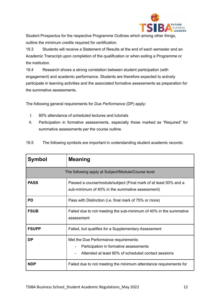

Student Prospectus for the respective Programme Outlines which among other things, outline the minimum credits required for certification.

19.3 Students will receive a Statement of Results at the end of each semester and an Academic Transcript upon completion of the qualification or when exiting a Programme or the institution.

19.4 Research shows a strong correlation between student participation (with engagement) and academic performance. Students are therefore expected to actively participate in learning activities and the associated formative assessments as preparation for the summative assessments.

The following general requirements for *Due Performance* (DP) apply:

- I. 80% attendance of scheduled lectures and tutorials
- II. Participation in formative assessments, especially those marked as "Required" for summative assessments per the course outline.

| 19.5 |  |  | The following symbols are important in understanding student academic records: |  |
|------|--|--|--------------------------------------------------------------------------------|--|
|------|--|--|--------------------------------------------------------------------------------|--|

| <b>Symbol</b>                                      | <b>Meaning</b>                                                                                                                         |  |  |  |
|----------------------------------------------------|----------------------------------------------------------------------------------------------------------------------------------------|--|--|--|
| The following apply at Subject/Module/Course level |                                                                                                                                        |  |  |  |
| <b>PASS</b>                                        | Passed a course/module/subject (Final mark of at least 50% and a<br>sub-minimum of 40% in the summative assessment)                    |  |  |  |
| <b>PD</b>                                          | Pass with Distinction (i.e. final mark of 75% or more)                                                                                 |  |  |  |
| <b>FSUB</b>                                        | Failed due to not meeting the sub-minimum of 40% in the summative<br>assessment                                                        |  |  |  |
| <b>FSUPP</b>                                       | Failed, but qualifies for a Supplementary Assessment                                                                                   |  |  |  |
| <b>DP</b>                                          | Met the Due Performance requirements:<br>Participation in formative assessments<br>Attended at least 80% of scheduled contact sessions |  |  |  |
| <b>NDP</b>                                         | Failed due to not meeting the minimum attendance requirements for                                                                      |  |  |  |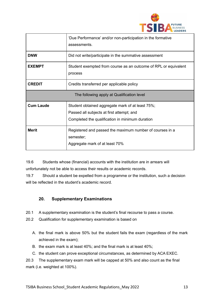

|                                            | 'Due Performance' and/or non-participation in the formative<br>assessments.                                                                      |  |
|--------------------------------------------|--------------------------------------------------------------------------------------------------------------------------------------------------|--|
| <b>DNW</b>                                 | Did not write/participate in the summative assessment                                                                                            |  |
| <b>EXEMPT</b>                              | Student exempted from course as an outcome of RPL or equivalent<br>process                                                                       |  |
| <b>CREDIT</b>                              | Credits transferred per applicable policy                                                                                                        |  |
| The following apply at Qualification level |                                                                                                                                                  |  |
| <b>Cum Laude</b>                           | Student obtained aggregate mark of at least 75%;<br>Passed all subjects at first attempt; and<br>Completed the qualification in minimum duration |  |
| <b>Merit</b>                               | Registered and passed the maximum number of courses in a<br>semester;<br>Aggregate mark of at least 70%                                          |  |

19.6 Students whose (financial) accounts with the institution are in arrears will unfortunately not be able to access their results or academic records.

19.7 Should a student be expelled from a programme or the institution, such a decision will be reflected in the student's academic record.

# **20. Supplementary Examinations**

- 20.1 A supplementary examination is the student's final recourse to pass a course.
- 20.2 Qualification for supplementary examination is based on
	- A. the final mark is above 50% but the student fails the exam (regardless of the mark achieved in the exam);
	- B. the exam mark is at least 40%; and the final mark is at least 40%;
	- C. the student can prove exceptional circumstances, as determined by ACA EXEC.

20.3 The supplementary exam mark will be capped at 50% and also count as the final mark (i.e. weighted at 100%).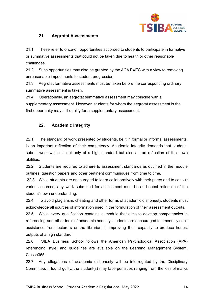

## **21. Aegrotat Assessments**

21.1 These refer to once-off opportunities accorded to students to participate in formative or summative assessments that could not be taken due to health or other reasonable challenges.

21.2 Such opportunities may also be granted by the ACA EXEC with a view to removing unreasonable impediments to student progression.

21.3 Aegrotat formative assessments must be taken before the corresponding ordinary summative assessment is taken.

21.4 Operationally, an aegrotat summative assessment may coincide with a supplementary assessment. However, students for whom the aegrotat assessment is the first opportunity may still qualify for a supplementary assessment.

## **22. Academic Integrity**

22.1 The standard of work presented by students, be it in formal or informal assessments, is an important reflection of their competency. Academic integrity demands that students submit work which is not only of a high standard but also a true reflection of their own abilities.

22.2 Students are required to adhere to assessment standards as outlined in the module outlines, question papers and other pertinent communiques from time to time.

22.3 While students are encouraged to learn collaboratively with their peers and to consult various sources, any work submitted for assessment must be an honest reflection of the student's own understanding.

22.4 To avoid plagiarism, cheating and other forms of academic dishonesty, students must acknowledge all sources of information used in the formulation of their assessment outputs.

22.5 While every qualification contains a module that aims to develop competencies in referencing and other tools of academic honesty, students are encouraged to timeously seek assistance from lecturers or the librarian in improving their capacity to produce honest outputs of a high standard.

22.6 TSIBA Business School follows the American Psychological Association (APA) referencing style; and guidelines are available on the Learning Management System, Classe365.

22.7 Any allegations of academic dishonesty will be interrogated by the Disciplinary Committee. If found guilty, the student(s) may face penalties ranging from the loss of marks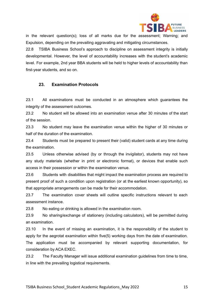

in the relevant question(s); loss of all marks due for the assessment; Warning; and Expulsion, depending on the prevailing aggravating and mitigating circumstances.

22.8 TSIBA Business School's approach to discipline on assessment integrity is initially developmental. However, the level of accountability increases with the student's academic level. For example, 2nd year BBA students will be held to higher levels of accountability than first-year students, and so on.

## **23. Examination Protocols**

23.1 All examinations must be conducted in an atmosphere which guarantees the integrity of the assessment outcomes.

23.2 No student will be allowed into an examination venue after 30 minutes of the start of the session.

23.3 No student may leave the examination venue within the higher of 30 minutes or half of the duration of the examination.

23.4 Students must be prepared to present their (valid) student cards at any time during the examination.

23.5 Unless otherwise advised (by or through the invigilator), students may not have any study materials (whether in print or electronic format), or devices that enable such access in their possession or within the examination venue.

23.6 Students with disabilities that might impact the examination process are required to present proof of such a condition upon registration (or at the earliest known opportunity), so that appropriate arrangements can be made for their accommodation.

23.7 The examination cover sheets will outline specific instructions relevant to each assessment instance.

23.8 No eating or drinking is allowed in the examination room.

23.9 No sharing/exchange of stationery (including calculators), will be permitted during an examination.

23.10 In the event of missing an examination, it is the responsibility of the student to apply for the aegrotat examination within five(5) working days from the date of examination. The application must be accompanied by relevant supporting documentation, for consideration by ACA EXEC.

23.2 The Faculty Manager will issue additional examination guidelines from time to time, in line with the prevailing logistical requirements.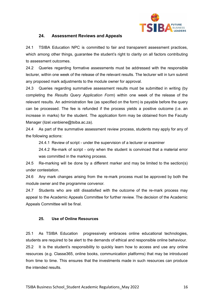

### **24. Assessment Reviews and Appeals**

24.1 TSIBA Education NPC is committed to fair and transparent assessment practices, which among other things, guarantee the student's right to clarity on all factors contributing to assessment outcomes.

24.2 Queries regarding formative assessments must be addressed with the responsible lecturer, within one week of the release of the relevant results. The lecturer will in turn submit any proposed mark adjustments to the module owner for approval.

24.3 Queries regarding summative assessment results must be submitted in writing (by completing the *Results Query Application Form*) within one week of the release of the relevant results. An administration fee (as specified on the form) is payable before the query can be processed. The fee is refunded if the process yields a positive outcome (i.e. an increase in marks) for the student. The application form may be obtained from the Faculty Manager (lizel.vanbiene@tsiba.ac.za).

24.4 As part of the summative assessment review process, students may apply for any of the following actions:

24.4.1 Review of script - under the supervision of a lecturer or examiner

24.4.2 Re-mark of script - only when the student is convinced that a material error was committed in the marking process.

24.5 Re-marking will be done by a different marker and may be limited to the section(s) under contestation.

24.6 Any mark changes arising from the re-mark process must be approved by both the module owner and the programme convenor.

24.7 Students who are still dissatisfied with the outcome of the re-mark process may appeal to the Academic Appeals Committee for further review. The decision of the Academic Appeals Committee will be final.

### **25. Use of Online Resources**

25.1 As TSIBA Education progressively embraces online educational technologies, students are required to be alert to the demands of ethical and responsible online behaviour. 25.2 It is the student's responsibility to quickly learn how to access and use any online resources (e.g. Classe365, online books, communication platforms) that may be introduced from time to time. This ensures that the investments made in such resources can produce the intended results.